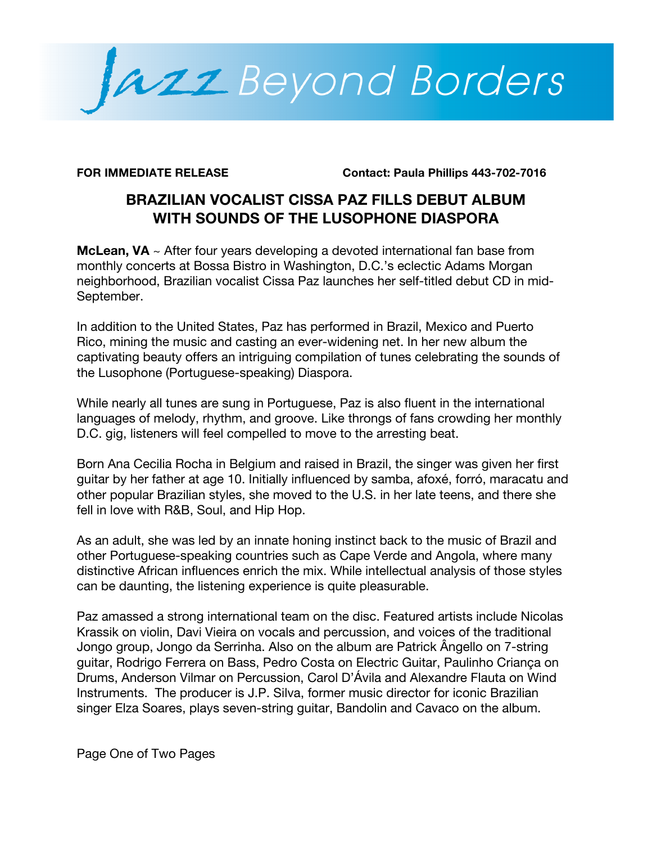

**FOR IMMEDIATE RELEASE Contact: Paula Phillips 443-702-7016**

# **BRAZILIAN VOCALIST CISSA PAZ FILLS DEBUT ALBUM WITH SOUNDS OF THE LUSOPHONE DIASPORA**

**McLean, VA** ~ After four years developing a devoted international fan base from monthly concerts at Bossa Bistro in Washington, D.C.'s eclectic Adams Morgan neighborhood, Brazilian vocalist Cissa Paz launches her self-titled debut CD in mid-September.

In addition to the United States, Paz has performed in Brazil, Mexico and Puerto Rico, mining the music and casting an ever-widening net. In her new album the captivating beauty offers an intriguing compilation of tunes celebrating the sounds of the Lusophone (Portuguese-speaking) Diaspora.

While nearly all tunes are sung in Portuguese, Paz is also fluent in the international languages of melody, rhythm, and groove. Like throngs of fans crowding her monthly D.C. gig, listeners will feel compelled to move to the arresting beat.

Born Ana Cecilia Rocha in Belgium and raised in Brazil, the singer was given her first guitar by her father at age 10. Initially influenced by samba, afoxé, forró, maracatu and other popular Brazilian styles, she moved to the U.S. in her late teens, and there she fell in love with R&B, Soul, and Hip Hop.

As an adult, she was led by an innate honing instinct back to the music of Brazil and other Portuguese-speaking countries such as Cape Verde and Angola, where many distinctive African influences enrich the mix. While intellectual analysis of those styles can be daunting, the listening experience is quite pleasurable.

Paz amassed a strong international team on the disc. Featured artists include Nicolas Krassik on violin, Davi Vieira on vocals and percussion, and voices of the traditional Jongo group, Jongo da Serrinha. Also on the album are Patrick Ângello on 7-string guitar, Rodrigo Ferrera on Bass, Pedro Costa on Electric Guitar, Paulinho Criança on Drums, Anderson Vilmar on Percussion, Carol D'Ávila and Alexandre Flauta on Wind Instruments. The producer is J.P. Silva, former music director for iconic Brazilian singer Elza Soares, plays seven-string guitar, Bandolin and Cavaco on the album.

Page One of Two Pages